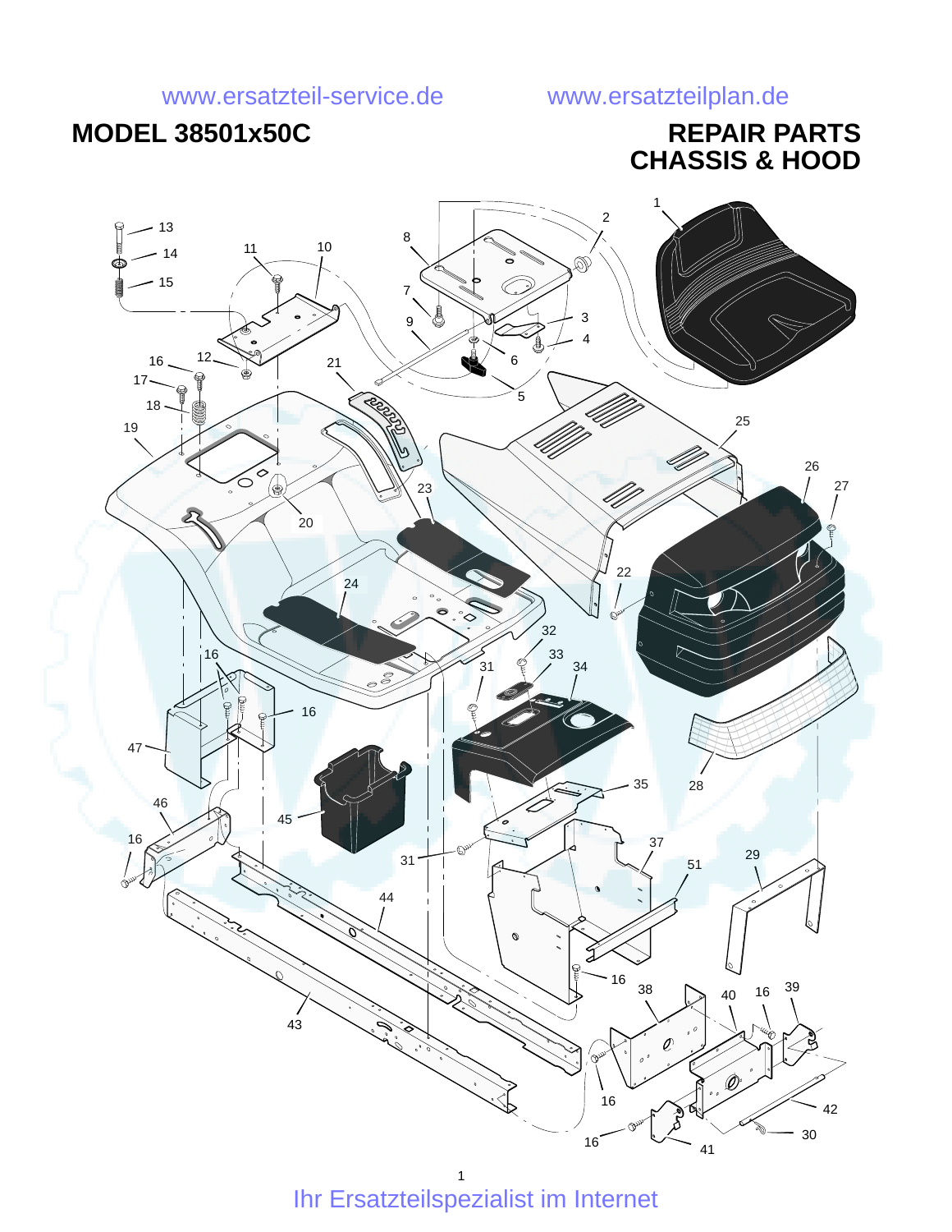# **MODEL 38501x50C REPAIR PARTS**

# **CHASSIS & HOOD**

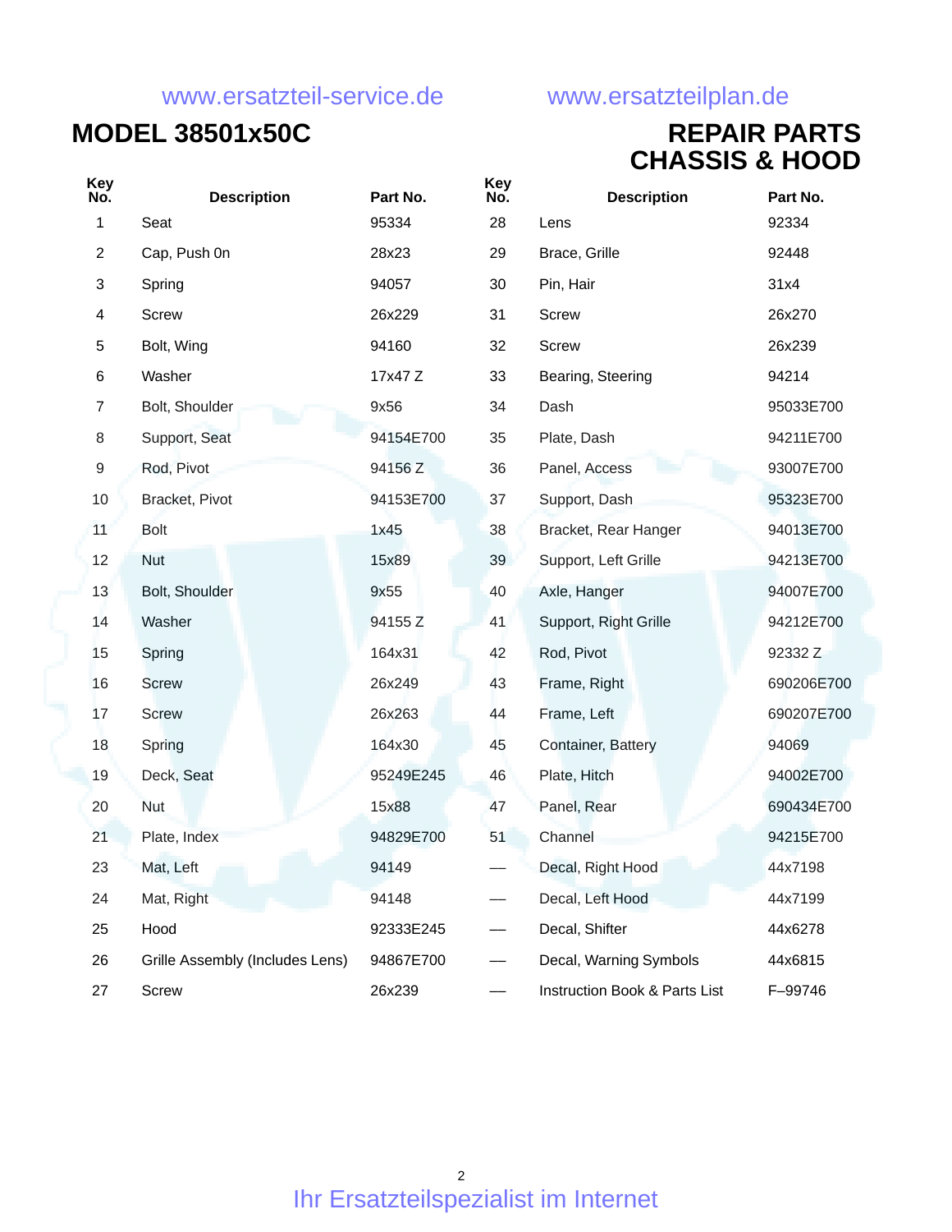### **MODEL 38501x50C REPAIR PARTS CHASSIS & HOOD**

| Key<br>No.     | <b>Description</b>              | Part No.  | <b>Key</b><br>No. | <b>Description</b>            | Part No.   |
|----------------|---------------------------------|-----------|-------------------|-------------------------------|------------|
| $\mathbf{1}$   | Seat                            | 95334     | 28                | Lens                          | 92334      |
| $\overline{2}$ | Cap, Push 0n                    | 28x23     | 29                | Brace, Grille                 | 92448      |
| 3              | Spring                          | 94057     | 30                | Pin, Hair                     | 31x4       |
| 4              | Screw                           | 26x229    | 31                | <b>Screw</b>                  | 26x270     |
| 5              | Bolt, Wing                      | 94160     | 32                | Screw                         | 26x239     |
| 6              | Washer                          | 17x47 Z   | 33                | Bearing, Steering             | 94214      |
| $\overline{7}$ | Bolt, Shoulder                  | 9x56      | 34                | Dash                          | 95033E700  |
| 8              | Support, Seat                   | 94154E700 | 35                | Plate, Dash                   | 94211E700  |
| 9              | Rod, Pivot                      | 94156 Z   | 36                | Panel, Access                 | 93007E700  |
| $10$           | Bracket, Pivot                  | 94153E700 | 37                | Support, Dash                 | 95323E700  |
| 11             | <b>Bolt</b>                     | 1x45      | 38                | Bracket, Rear Hanger          | 94013E700  |
| 12             | <b>Nut</b>                      | 15x89     | 39                | Support, Left Grille          | 94213E700  |
| 13             | Bolt, Shoulder                  | 9x55      | 40                | Axle, Hanger                  | 94007E700  |
| 14             | Washer                          | 94155 Z   | 41                | Support, Right Grille         | 94212E700  |
| 15             | Spring                          | 164x31    | 42                | Rod, Pivot                    | 92332 Z    |
| 16             | <b>Screw</b>                    | 26x249    | 43                | Frame, Right                  | 690206E700 |
| 17             | Screw                           | 26x263    | 44                | Frame, Left                   | 690207E700 |
| 18             | Spring                          | 164x30    | 45                | Container, Battery            | 94069      |
| 19             | Deck, Seat                      | 95249E245 | 46                | Plate, Hitch                  | 94002E700  |
| 20             | Nut                             | 15x88     | 47                | Panel, Rear                   | 690434E700 |
| 21             | Plate, Index                    | 94829E700 | 51                | Channel                       | 94215E700  |
| 23             | Mat, Left                       | 94149     |                   | Decal, Right Hood             | 44x7198    |
| 24             | Mat, Right                      | 94148     |                   | Decal, Left Hood              | 44x7199    |
| 25             | Hood                            | 92333E245 |                   | Decal, Shifter                | 44x6278    |
| 26             | Grille Assembly (Includes Lens) | 94867E700 |                   | Decal, Warning Symbols        | 44x6815    |
| 27             | <b>Screw</b>                    | 26x239    |                   | Instruction Book & Parts List | F-99746    |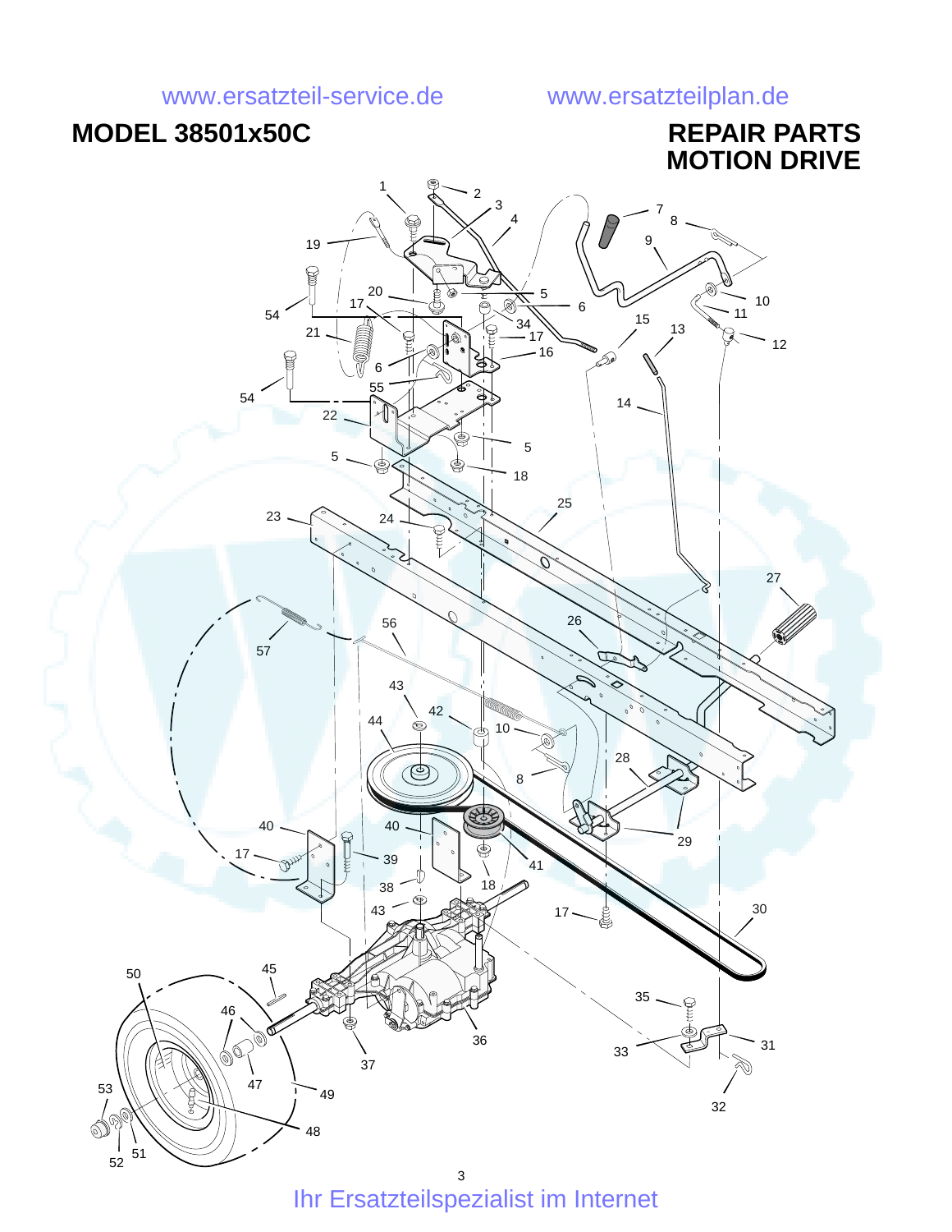## **MODEL 38501x50C REPAIR PARTS**

# **MOTION DRIVE**

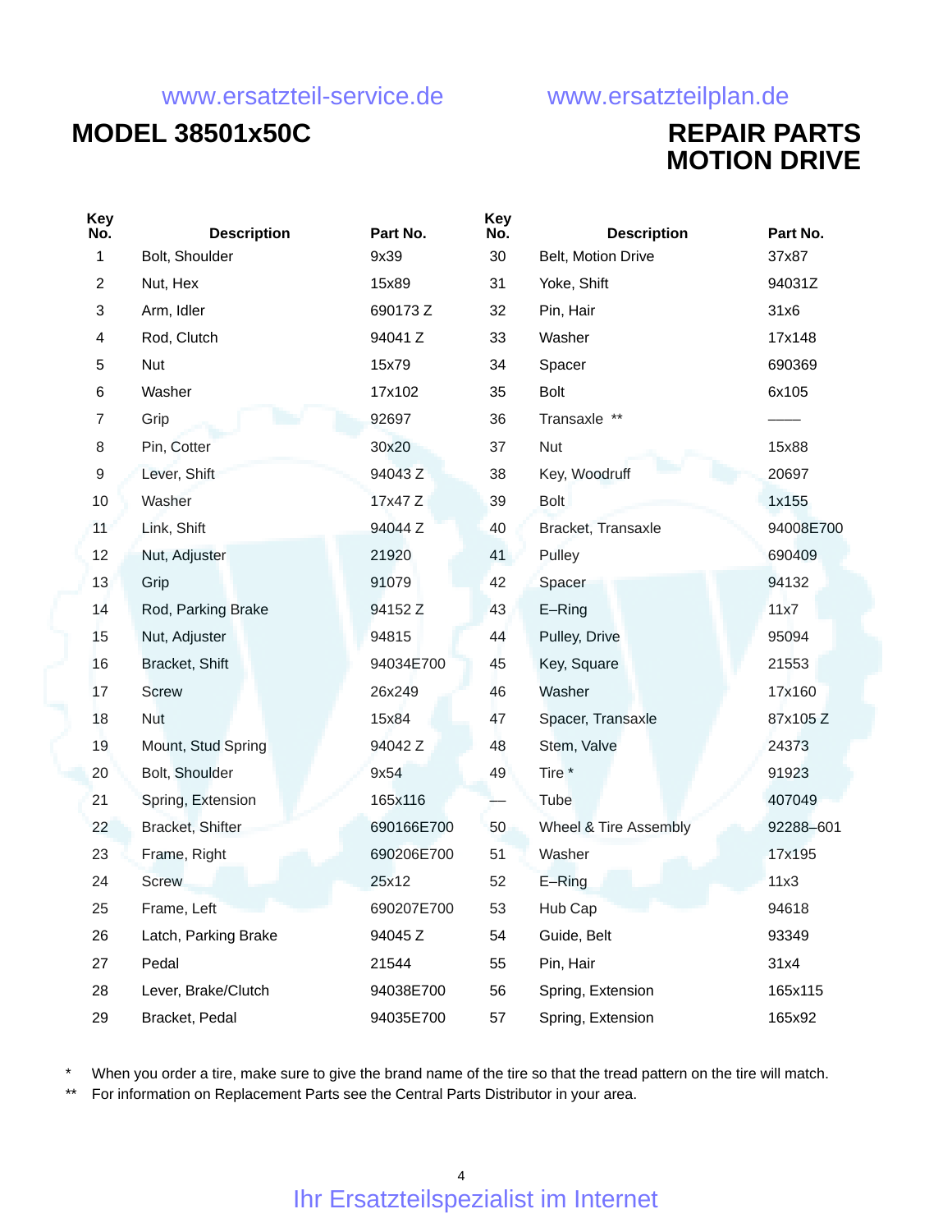## **MODEL 38501x50C REPAIR PARTS**

# **MOTION DRIVE**

| <b>Key</b><br>No. | <b>Description</b>   | Part No.   | <b>Key</b><br>No. | <b>Description</b>    | Part No.  |
|-------------------|----------------------|------------|-------------------|-----------------------|-----------|
| 1                 | Bolt, Shoulder       | 9x39       | 30                | Belt, Motion Drive    | 37x87     |
| $\overline{2}$    | Nut, Hex             | 15x89      | 31                | Yoke, Shift           | 94031Z    |
| 3                 | Arm, Idler           | 690173Z    | 32                | Pin, Hair             | 31x6      |
| 4                 | Rod, Clutch          | 94041 Z    | 33                | Washer                | 17x148    |
| 5                 | Nut                  | 15x79      | 34                | Spacer                | 690369    |
| 6                 | Washer               | 17x102     | 35                | <b>Bolt</b>           | 6x105     |
| 7                 | Grip                 | 92697      | 36                | Transaxle **          |           |
| 8                 | Pin, Cotter          | 30x20      | 37                | <b>Nut</b>            | 15x88     |
| 9                 | Lever, Shift         | 94043Z     | 38                | Key, Woodruff         | 20697     |
| 10                | Washer               | 17x47 Z    | 39                | <b>Bolt</b>           | 1x155     |
| 11                | Link, Shift          | 94044 Z    | 40                | Bracket, Transaxle    | 94008E700 |
| 12                | Nut, Adjuster        | 21920      | 41                | Pulley                | 690409    |
| 13                | Grip                 | 91079      | 42                | Spacer                | 94132     |
| 14                | Rod, Parking Brake   | 94152 Z    | 43                | E-Ring                | 11x7      |
| 15                | Nut, Adjuster        | 94815      | 44                | Pulley, Drive         | 95094     |
| 16                | Bracket, Shift       | 94034E700  | 45                | Key, Square           | 21553     |
| 17                | <b>Screw</b>         | 26x249     | 46                | Washer                | 17x160    |
| 18                | <b>Nut</b>           | 15x84      | 47                | Spacer, Transaxle     | 87x105Z   |
| 19                | Mount, Stud Spring   | 94042 Z    | 48                | Stem, Valve           | 24373     |
| 20                | Bolt, Shoulder       | 9x54       | 49                | Tire <sup>*</sup>     | 91923     |
| 21                | Spring, Extension    | 165x116    |                   | Tube                  | 407049    |
| 22                | Bracket, Shifter     | 690166E700 | 50                | Wheel & Tire Assembly | 92288-601 |
| 23                | Frame, Right         | 690206E700 | 51                | Washer                | 17x195    |
| 24                | <b>Screw</b>         | 25x12      | 52                | $E-Ring$              | 11x3      |
| 25                | Frame, Left          | 690207E700 | 53                | Hub Cap               | 94618     |
| 26                | Latch, Parking Brake | 94045 Z    | 54                | Guide, Belt           | 93349     |
| 27                | Pedal                | 21544      | 55                | Pin, Hair             | 31x4      |
| 28                | Lever, Brake/Clutch  | 94038E700  | 56                | Spring, Extension     | 165x115   |
| 29                | Bracket, Pedal       | 94035E700  | 57                | Spring, Extension     | 165x92    |

When you order a tire, make sure to give the brand name of the tire so that the tread pattern on the tire will match.

\*\* For information on Replacement Parts see the Central Parts Distributor in your area.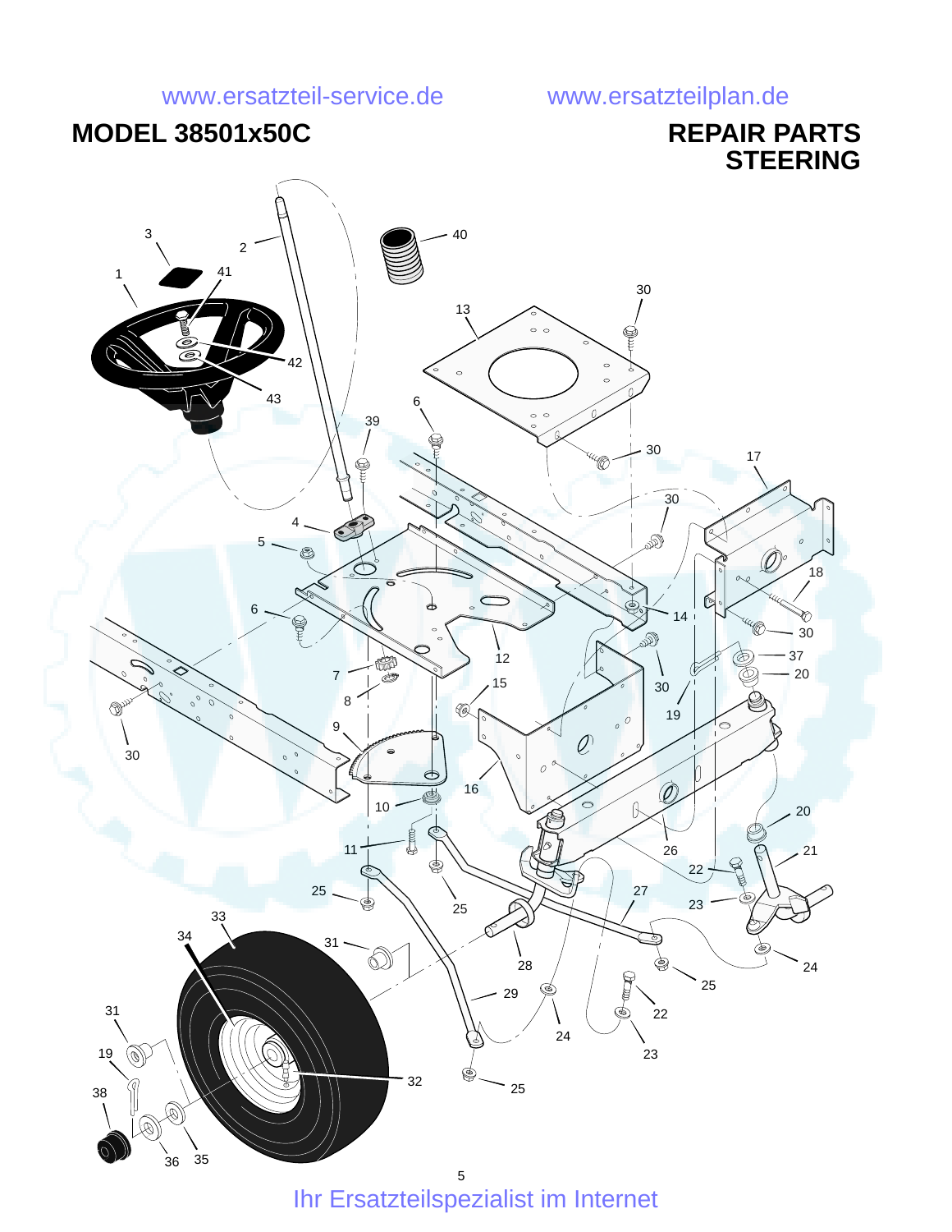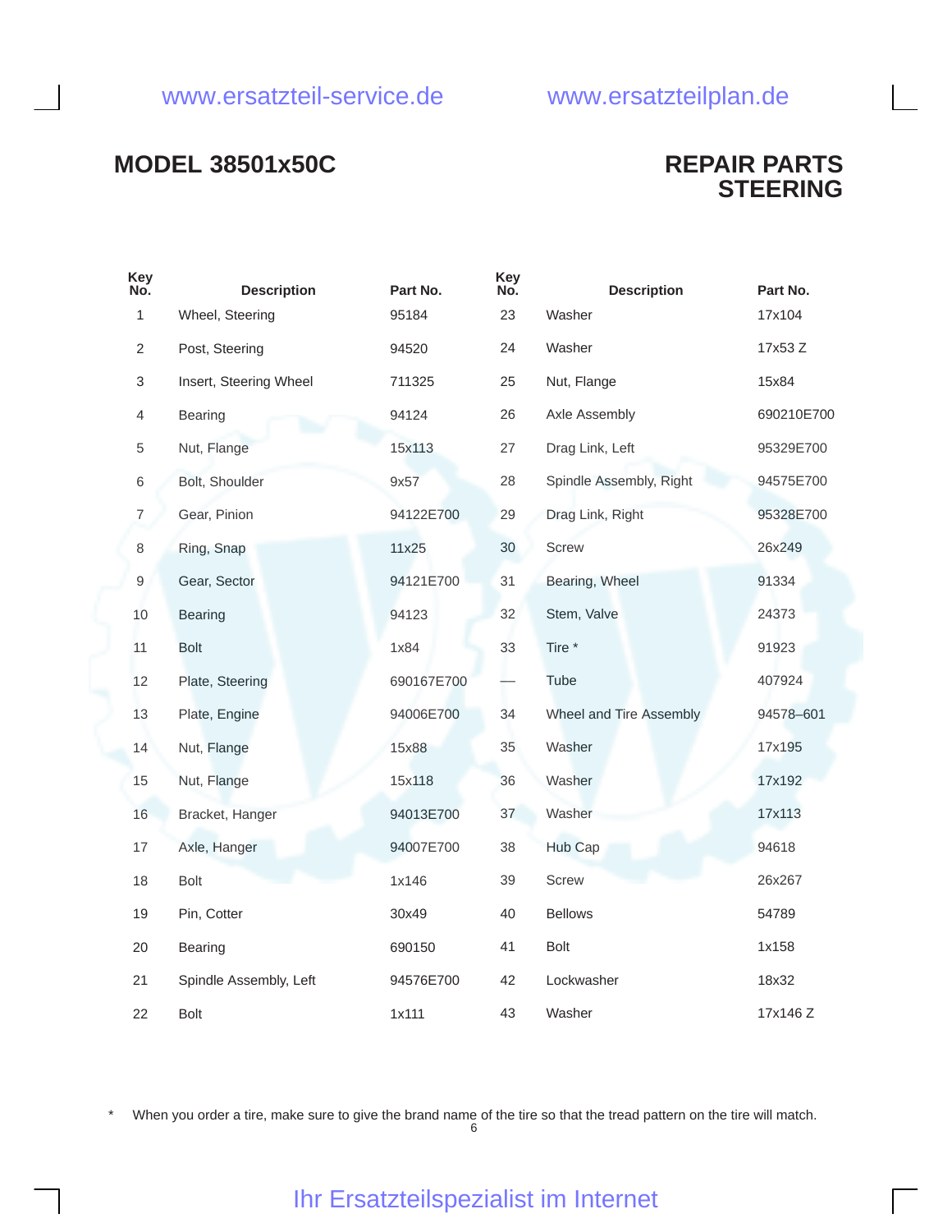### **MODEL 38501x50C REPAIR PARTS**

 $k = 1$ 

# **STEERING**

| ney<br>No.     | <b>Description</b>     | Part No.   | ney<br>No. | <b>Description</b>      | Part No.   |
|----------------|------------------------|------------|------------|-------------------------|------------|
| 1              | Wheel, Steering        | 95184      | 23         | Washer                  | 17x104     |
| $\overline{c}$ | Post, Steering         | 94520      | 24         | Washer                  | 17x53 Z    |
| $\sqrt{3}$     | Insert, Steering Wheel | 711325     | 25         | Nut, Flange             | 15x84      |
| $\overline{4}$ | Bearing                | 94124      | 26         | Axle Assembly           | 690210E700 |
| 5              | Nut, Flange            | 15x113     | 27         | Drag Link, Left         | 95329E700  |
| 6              | Bolt, Shoulder         | 9x57       | 28         | Spindle Assembly, Right | 94575E700  |
| $\overline{7}$ | Gear, Pinion           | 94122E700  | 29         | Drag Link, Right        | 95328E700  |
| 8              | Ring, Snap             | 11x25      | 30         | Screw                   | 26x249     |
| 9              | Gear, Sector           | 94121E700  | 31         | Bearing, Wheel          | 91334      |
| 10             | <b>Bearing</b>         | 94123      | 32         | Stem, Valve             | 24373      |
| 11             | <b>Bolt</b>            | 1x84       | 33         | Tire *                  | 91923      |
| 12             | Plate, Steering        | 690167E700 |            | <b>Tube</b>             | 407924     |
| 13             | Plate, Engine          | 94006E700  | 34         | Wheel and Tire Assembly | 94578-601  |
| 14             | Nut, Flange            | 15x88      | 35         | Washer                  | 17x195     |
| 15             | Nut, Flange            | 15x118     | 36         | Washer                  | 17x192     |
| 16             | Bracket, Hanger        | 94013E700  | 37         | Washer                  | 17x113     |
| 17             | Axle, Hanger           | 94007E700  | 38         | Hub Cap                 | 94618      |
| 18             | Bolt                   | 1x146      | 39         | Screw                   | 26x267     |
| 19             | Pin, Cotter            | 30x49      | 40         | <b>Bellows</b>          | 54789      |
| 20             | Bearing                | 690150     | 41         | Bolt                    | 1x158      |
| 21             | Spindle Assembly, Left | 94576E700  | 42         | Lockwasher              | 18x32      |
| 22             | <b>Bolt</b>            | 1x111      | 43         | Washer                  | 17x146 Z   |
|                |                        |            |            |                         |            |

 $k = 1$ 

When you order a tire, make sure to give the brand name of the tire so that the tread pattern on the tire will match.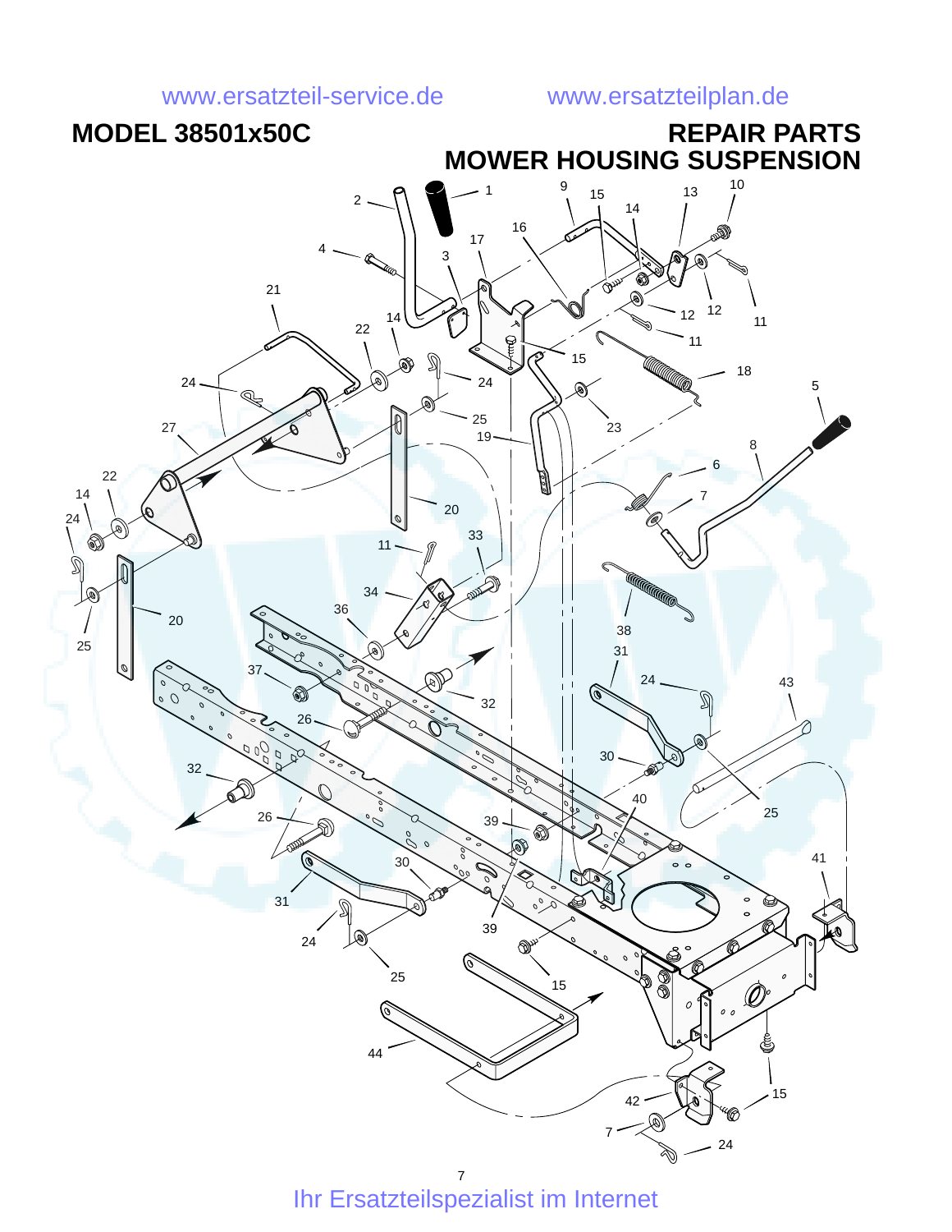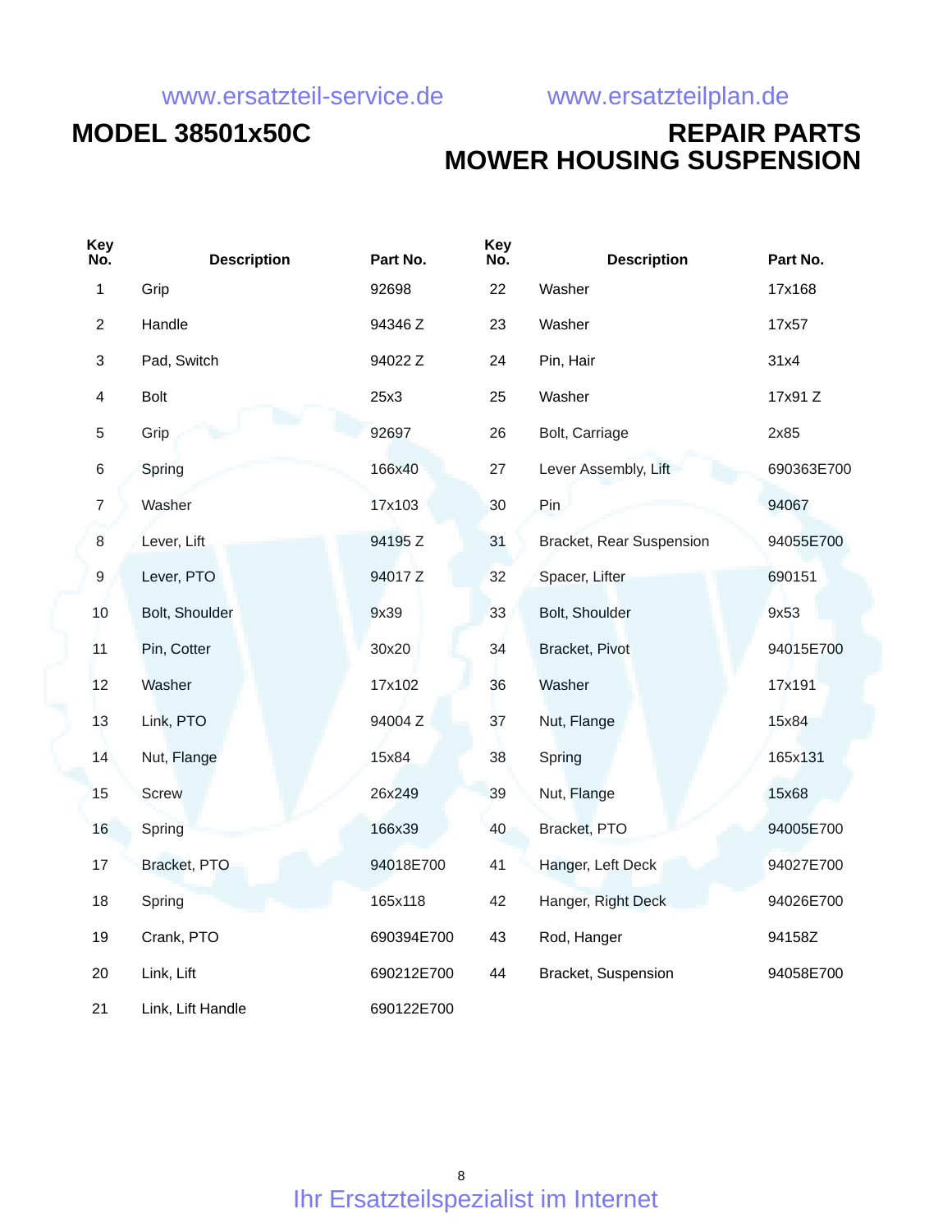### **MODEL 38501x50C REPAIR PARTS MOWER HOUSING SUSPENSION**

| Key<br>No.              | <b>Description</b> | Part No.   | <b>Key</b><br>No. | <b>Description</b>       | Part No.   |
|-------------------------|--------------------|------------|-------------------|--------------------------|------------|
| 1                       | Grip               | 92698      | 22                | Washer                   | 17x168     |
| $\overline{2}$          | Handle             | 94346 Z    | 23                | Washer                   | 17x57      |
| $\mathbf{3}$            | Pad, Switch        | 94022 Z    | 24                | Pin, Hair                | 31x4       |
| $\overline{\mathbf{4}}$ | <b>Bolt</b>        | 25x3       | 25                | Washer                   | 17x91 Z    |
| $\sqrt{5}$              | Grip               | 92697      | 26                | Bolt, Carriage           | 2x85       |
| $\,$ 6 $\,$             | Spring             | 166x40     | 27                | Lever Assembly, Lift     | 690363E700 |
| $\overline{7}$          | Washer             | 17x103     | 30                | Pin                      | 94067      |
| $\,8\,$                 | Lever, Lift        | 94195 Z    | 31                | Bracket, Rear Suspension | 94055E700  |
| $\boldsymbol{9}$        | Lever, PTO         | 94017 Z    | 32                | Spacer, Lifter           | 690151     |
| 10                      | Bolt, Shoulder     | 9x39       | 33                | Bolt, Shoulder           | 9x53       |
| 11                      | Pin, Cotter        | 30x20      | 34                | Bracket, Pivot           | 94015E700  |
| 12                      | Washer             | 17x102     | 36                | Washer                   | 17x191     |
| 13                      | Link, PTO          | 94004 Z    | 37                | Nut, Flange              | 15x84      |
| 14                      | Nut, Flange        | 15x84      | 38                | Spring                   | 165x131    |
| 15                      | <b>Screw</b>       | 26x249     | 39                | Nut, Flange              | 15x68      |
| 16                      | Spring             | 166x39     | 40                | Bracket, PTO             | 94005E700  |
| 17                      | Bracket, PTO       | 94018E700  | 41                | Hanger, Left Deck        | 94027E700  |
| 18                      | Spring             | 165x118    | 42                | Hanger, Right Deck       | 94026E700  |
| 19                      | Crank, PTO         | 690394E700 | 43                | Rod, Hanger              | 94158Z     |
| 20                      | Link, Lift         | 690212E700 | 44                | Bracket, Suspension      | 94058E700  |
| 21                      | Link, Lift Handle  | 690122E700 |                   |                          |            |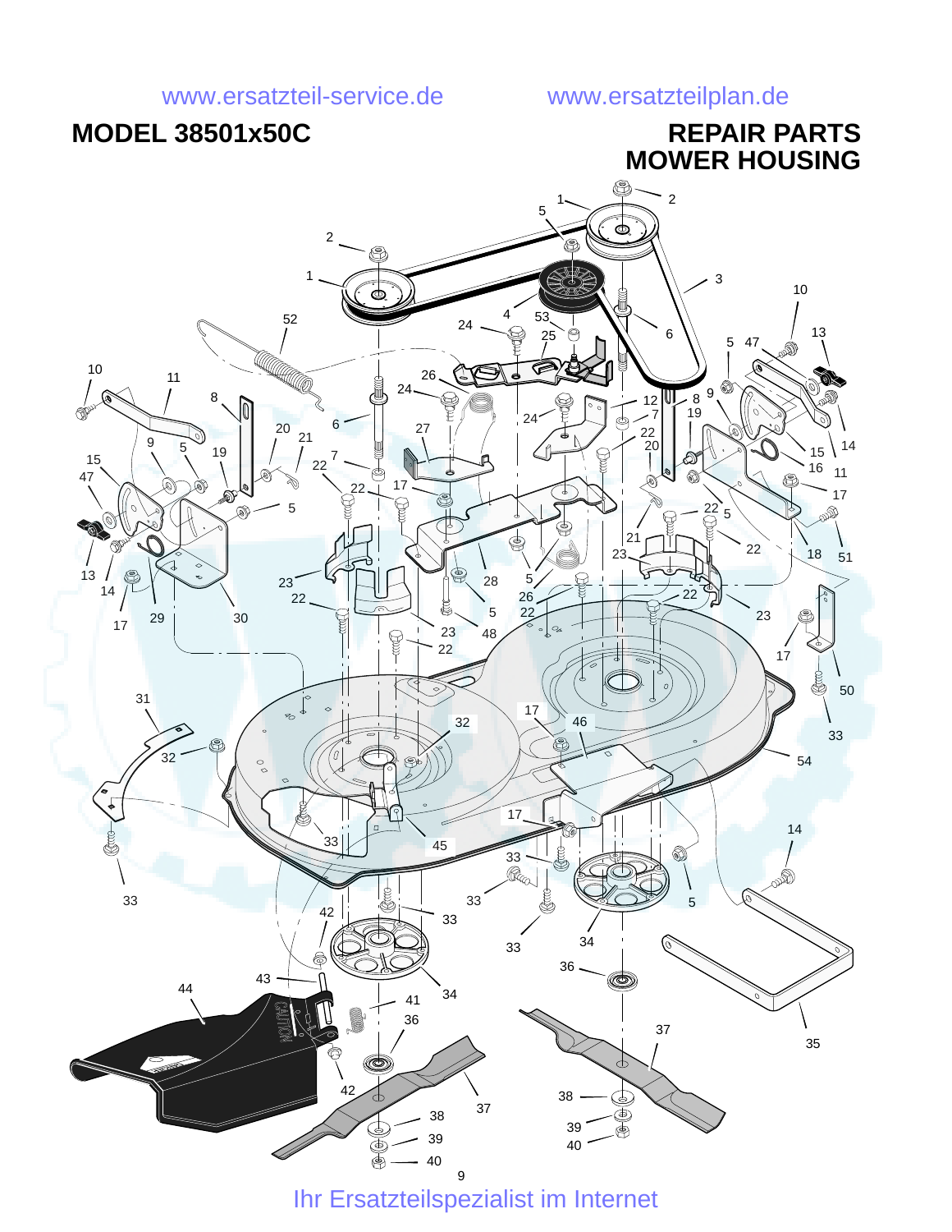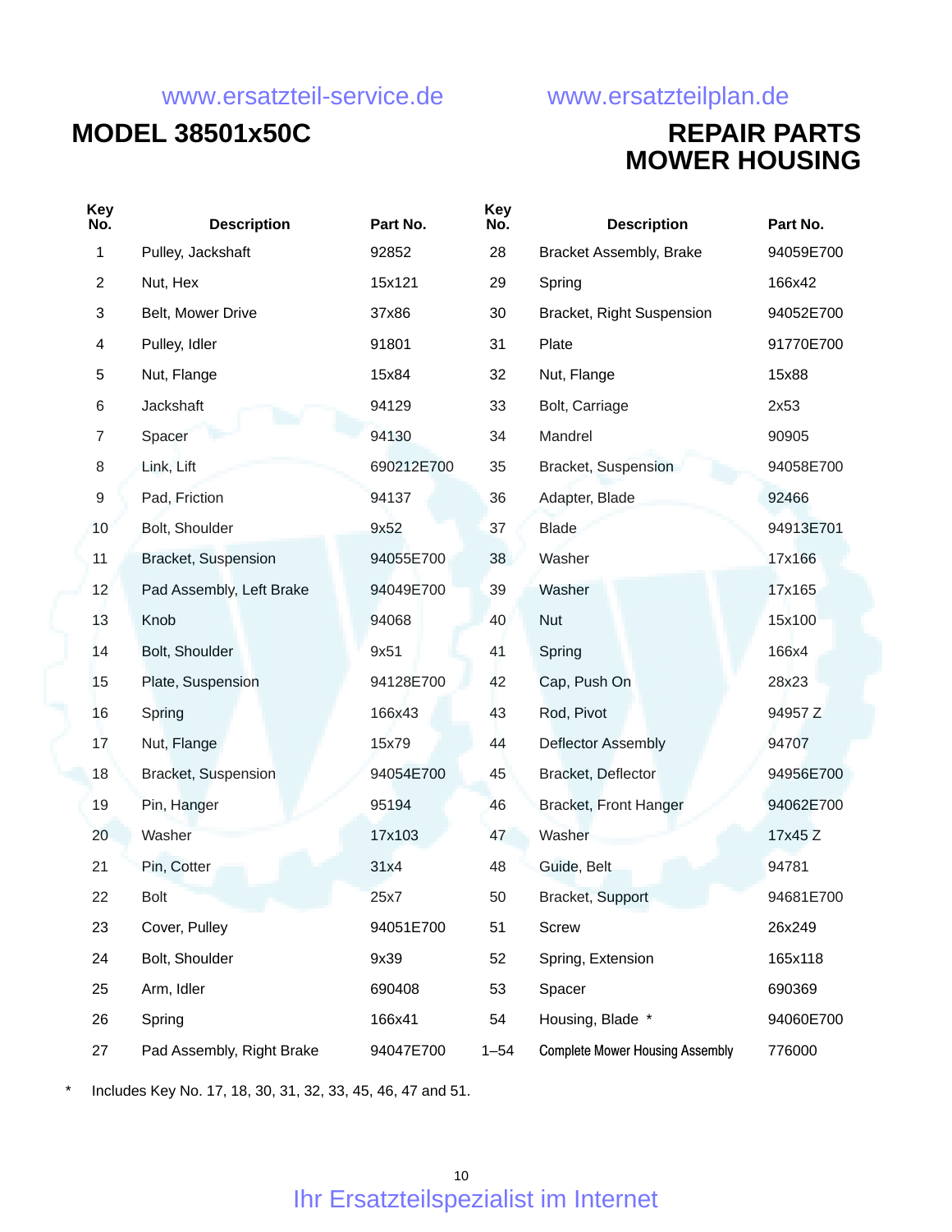## **MODEL 38501x50C REPAIR PARTS**

# **MOWER HOUSING**

| <b>Key</b><br>No. | <b>Description</b>        | Part No.   | <b>Key</b><br>No. | <b>Description</b>                     | Part No.  |
|-------------------|---------------------------|------------|-------------------|----------------------------------------|-----------|
| 1                 | Pulley, Jackshaft         | 92852      | 28                | <b>Bracket Assembly, Brake</b>         | 94059E700 |
| $\overline{c}$    | Nut, Hex                  | 15x121     | 29                | Spring                                 | 166x42    |
| 3                 | Belt, Mower Drive         | 37x86      | 30                | Bracket, Right Suspension              | 94052E700 |
| 4                 | Pulley, Idler             | 91801      | 31                | Plate                                  | 91770E700 |
| 5                 | Nut, Flange               | 15x84      | 32                | Nut, Flange                            | 15x88     |
| 6                 | Jackshaft                 | 94129      | 33                | Bolt, Carriage                         | 2x53      |
| $\overline{7}$    | Spacer                    | 94130      | 34                | Mandrel                                | 90905     |
| 8                 | Link, Lift                | 690212E700 | 35                | Bracket, Suspension                    | 94058E700 |
| $\boldsymbol{9}$  | Pad, Friction             | 94137      | 36                | Adapter, Blade                         | 92466     |
| 10                | Bolt, Shoulder            | 9x52       | 37                | <b>Blade</b>                           | 94913E701 |
| 11                | Bracket, Suspension       | 94055E700  | 38                | Washer                                 | 17x166    |
| 12                | Pad Assembly, Left Brake  | 94049E700  | 39                | Washer                                 | 17x165    |
| 13                | Knob                      | 94068      | 40                | <b>Nut</b>                             | 15x100    |
| 14                | Bolt, Shoulder            | 9x51       | 41                | Spring                                 | 166x4     |
| 15                | Plate, Suspension         | 94128E700  | 42                | Cap, Push On                           | 28x23     |
| 16                | Spring                    | 166x43     | 43                | Rod, Pivot                             | 94957 Z   |
| 17                | Nut, Flange               | 15x79      | 44                | Deflector Assembly                     | 94707     |
| 18                | Bracket, Suspension       | 94054E700  | 45                | Bracket, Deflector                     | 94956E700 |
| 19                | Pin, Hanger               | 95194      | 46                | Bracket, Front Hanger                  | 94062E700 |
| 20                | Washer                    | 17x103     | 47                | Washer                                 | 17x45 Z   |
| 21                | Pin, Cotter               | 31x4       | 48                | Guide, Belt                            | 94781     |
| 22                | <b>Bolt</b>               | 25x7       | 50                | Bracket, Support                       | 94681E700 |
| 23                | Cover, Pulley             | 94051E700  | 51                | Screw                                  | 26x249    |
| 24                | Bolt, Shoulder            | 9x39       | 52                | Spring, Extension                      | 165x118   |
| 25                | Arm, Idler                | 690408     | 53                | Spacer                                 | 690369    |
| 26                | Spring                    | 166x41     | 54                | Housing, Blade *                       | 94060E700 |
| 27                | Pad Assembly, Right Brake | 94047E700  | $1 - 54$          | <b>Complete Mower Housing Assembly</b> | 776000    |

\* Includes Key No. 17, 18, 30, 31, 32, 33, 45, 46, 47 and 51.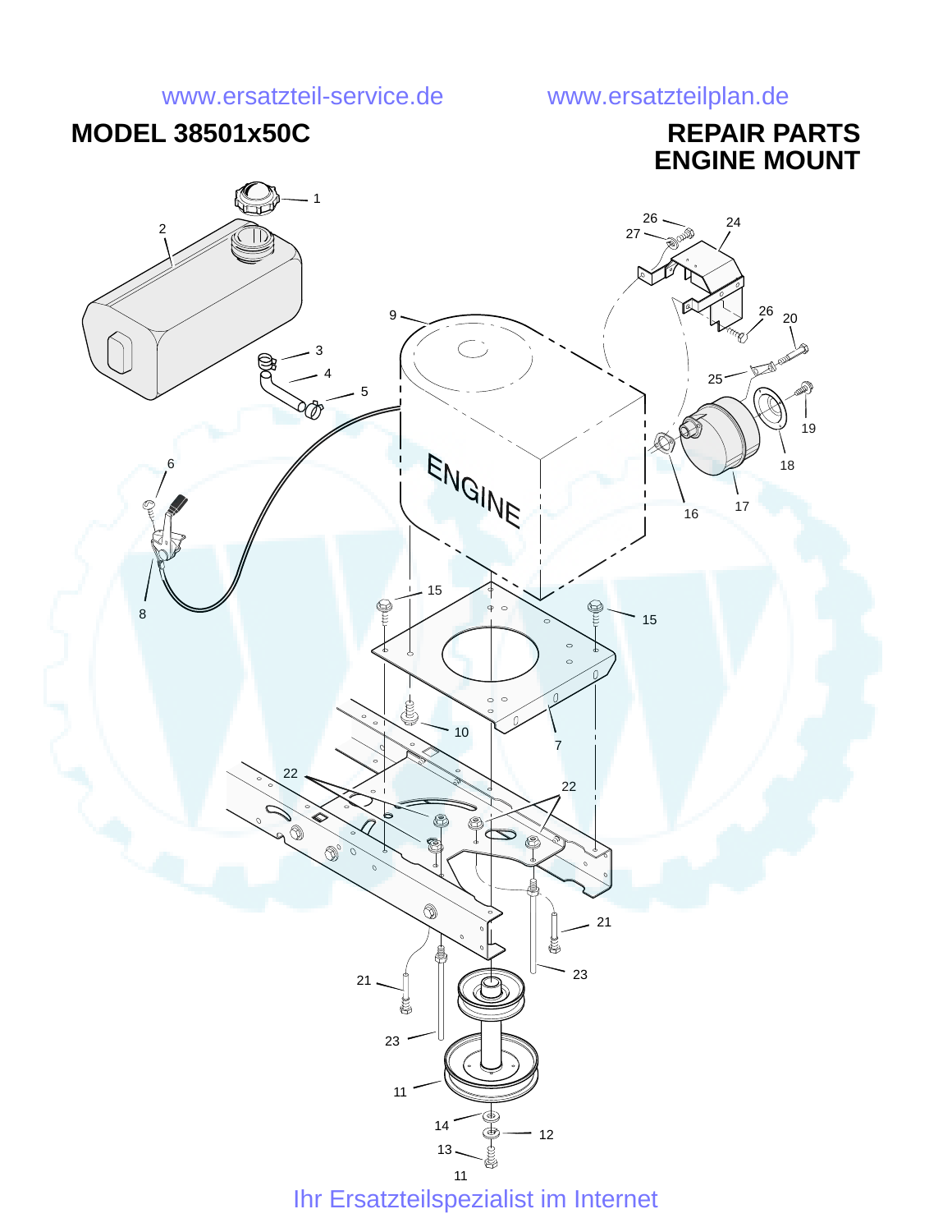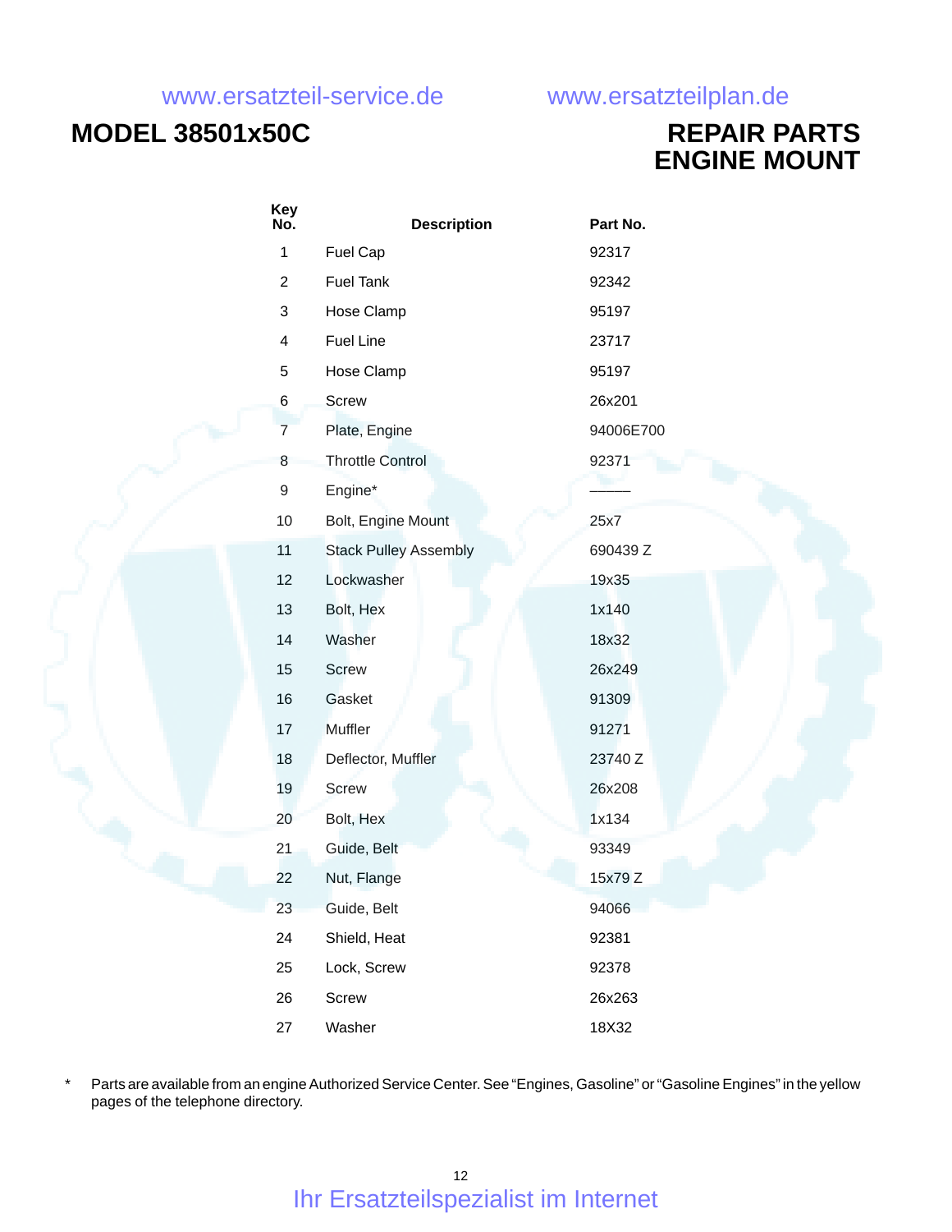## **MODEL 38501x50C REPAIR PARTS**

**ENGINE MOUNT**

| Key<br>No.     | <b>Description</b>           | Part No.  |
|----------------|------------------------------|-----------|
| $\mathbf{1}$   | Fuel Cap                     | 92317     |
| $\overline{c}$ | <b>Fuel Tank</b>             | 92342     |
| 3              | Hose Clamp                   | 95197     |
| 4              | Fuel Line                    | 23717     |
| 5              | Hose Clamp                   | 95197     |
| $\,6$          | Screw                        | 26x201    |
| $\overline{7}$ | Plate, Engine                | 94006E700 |
| 8              | <b>Throttle Control</b>      | 92371     |
| 9              | Engine*                      |           |
| 10             | Bolt, Engine Mount           | 25x7      |
| 11             | <b>Stack Pulley Assembly</b> | 690439 Z  |
| 12             | Lockwasher                   | 19x35     |
| 13             | Bolt, Hex                    | 1x140     |
| 14             | Washer                       | 18x32     |
| 15             | <b>Screw</b>                 | 26x249    |
| 16             | Gasket                       | 91309     |
| 17             | Muffler                      | 91271     |
| 18             | Deflector, Muffler           | 23740 Z   |
| 19             | Screw                        | 26x208    |
| 20             | Bolt, Hex                    | 1x134     |
| 21             | Guide, Belt                  | 93349     |
| 22             | Nut, Flange                  | 15x79 Z   |
| 23             | Guide, Belt                  | 94066     |
| 24             | Shield, Heat                 | 92381     |
| 25             | Lock, Screw                  | 92378     |
| 26             | Screw                        | 26x263    |
| 27             | Washer                       | 18X32     |

Parts are available from an engine Authorized Service Center. See "Engines, Gasoline" or "Gasoline Engines" in the yellow pages of the telephone directory.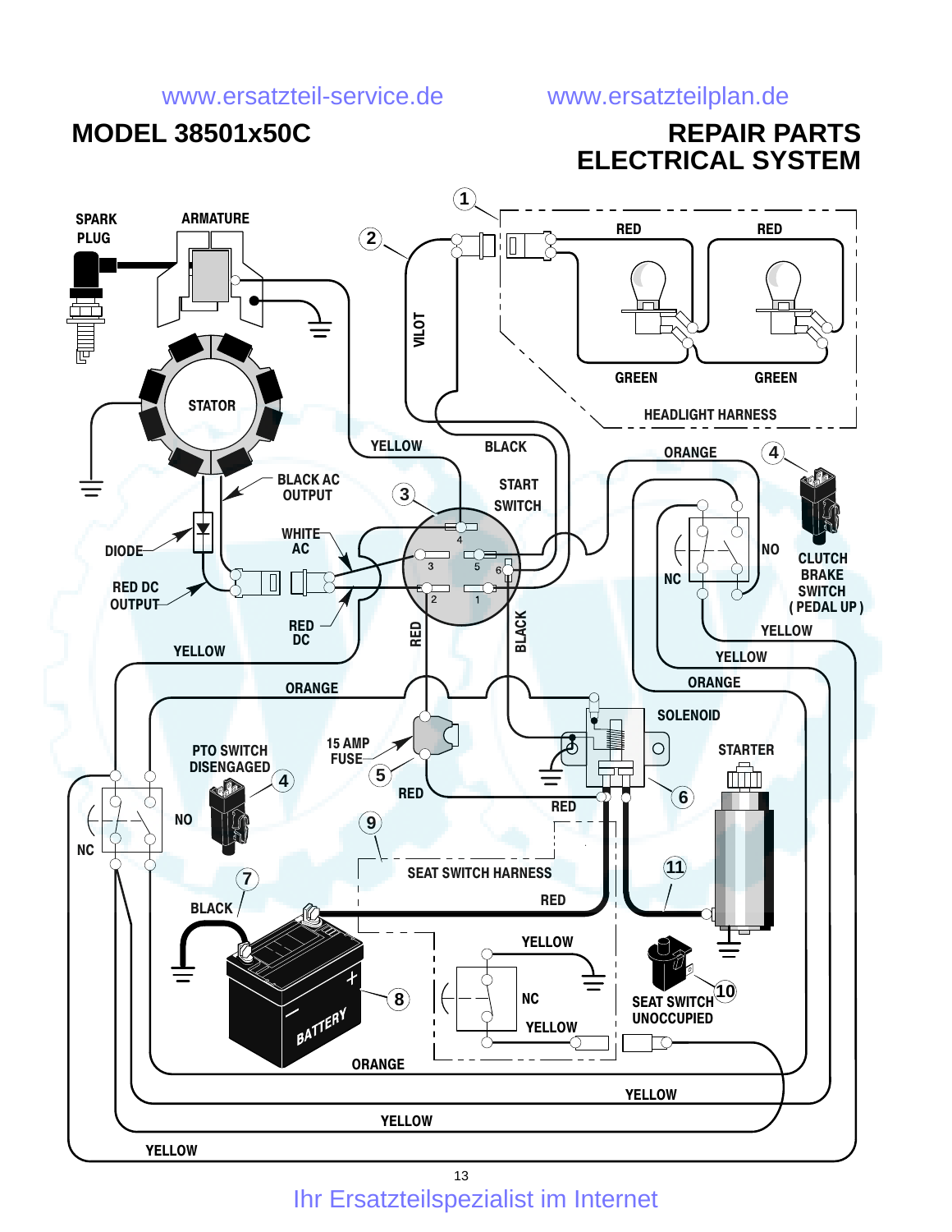

Ihr Ersatzteilspezialist im Internet